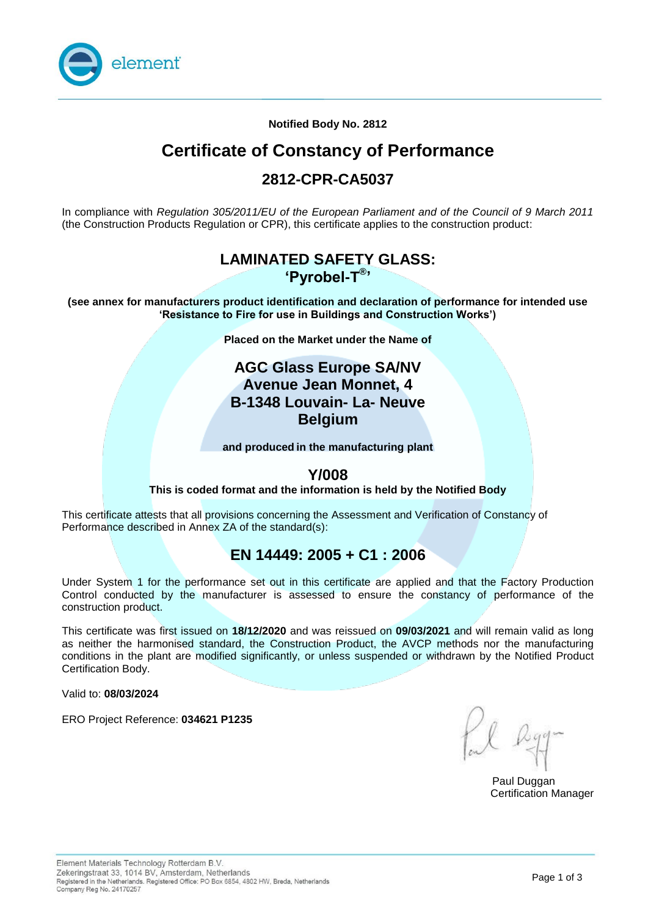

**Notified Body No. 2812**

# **Certificate of Constancy of Performance**

## **2812-CPR-CA5037**

In compliance with *Regulation 305/2011/EU of the European Parliament and of the Council of 9 March 2011*  (the Construction Products Regulation or CPR), this certificate applies to the construction product:

### **LAMINATED SAFETY GLASS: 'Pyrobel-T® '**

**(see annex for manufacturers product identification and declaration of performance for intended use 'Resistance to Fire for use in Buildings and Construction Works')**

**Placed on the Market under the Name of**

### **AGC Glass Europe SA/NV Avenue Jean Monnet, 4 B-1348 Louvain- La- Neuve Belgium**

**and produced in the manufacturing plant** 

### **Y/008**

**This is coded format and the information is held by the Notified Body** 

This certificate attests that all provisions concerning the Assessment and Verification of Constancy of Performance described in Annex ZA of the standard(s):

## **EN 14449: 2005 + C1 : 2006**

Under System 1 for the performance set out in this certificate are applied and that the Factory Production Control conducted by the manufacturer is assessed to ensure the constancy of performance of the construction product.

This certificate was first issued on **18/12/2020** and was reissued on **09/03/2021** and will remain valid as long as neither the harmonised standard, the Construction Product, the AVCP methods nor the manufacturing conditions in the plant are modified significantly, or unless suspended or withdrawn by the Notified Product Certification Body.

Valid to: **08/03/2024** 

ERO Project Reference: **034621 P1235** 

Paul Duggan Certification Manager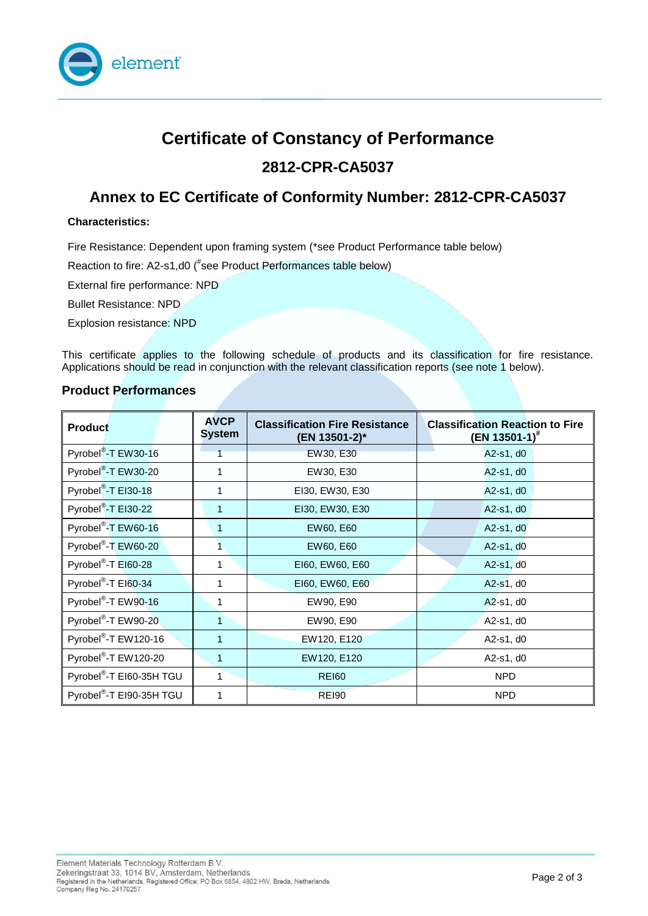

# **Certificate of Constancy of Performance 2812-CPR-CA5037**

## **Annex to EC Certificate of Conformity Number: 2812-CPR-CA5037**

#### **Characteristics:**

Fire Resistance: Dependent upon framing system (\*see Product Performance table below)

Reaction to fire: A2-s1,d0 (#see Product Performances table below)

External fire performance: NPD

Bullet Resistance: NPD

Explosion resistance: NPD

This certificate applies to the following schedule of products and its classification for fire resistance. Applications should be read in conjunction with the relevant classification reports (see note 1 below).

### **Product Performances**

| <b>Product</b>                       | <b>AVCP</b><br><b>System</b> | <b>Classification Fire Resistance</b><br>(EN 13501-2)* | <b>Classification Reaction to Fire</b><br>(EN 13501-1) <sup>#</sup> |
|--------------------------------------|------------------------------|--------------------------------------------------------|---------------------------------------------------------------------|
| Pyrobel <sup>®</sup> -T EW30-16      |                              | EW30, E30                                              | A2-s1, d0                                                           |
| Pyrobel <sup>®</sup> -T EW30-20      |                              | EW30, E30                                              | A2-s1, d0                                                           |
| Pyrobel <sup>®</sup> -T EI30-18      | 1                            | EI30, EW30, E30                                        | A2-s1, d0                                                           |
| Pyrobel <sup>®</sup> -T EI30-22      | 1                            | EI30, EW30, E30                                        | A2-s1, d0                                                           |
| Pyrobel <sup>®</sup> -T EW60-16      | 1                            | EW60, E60                                              | A2-s1, d0                                                           |
| Pyrobel <sup>®</sup> -T EW60-20      |                              | EW60, E60                                              | $A2-s1, d0$                                                         |
| Pyrobel <sup>®</sup> -T EI60-28      | 1                            | EI60, EW60, E60                                        | A2-s1, d0                                                           |
| Pyrobel <sup>®</sup> -T EI60-34      | 1                            | EI60, EW60, E60                                        | A2-s1, d0                                                           |
| Pyrobel <sup>®</sup> -T EW90-16      |                              | EW90, E90                                              | A2-s1, d0                                                           |
| Pyrobel <sup>®</sup> -T EW90-20      | 1                            | EW90, E90                                              | A2-s1, d0                                                           |
| Pyrobel <sup>®</sup> -T EW120-16     | 1                            | EW120, E120                                            | A2-s1, d0                                                           |
| Pyrobel <sup>®</sup> -T EW120-20     | 1                            | EW120, E120                                            | A2-s1, d0                                                           |
| Pyrobel <sup>®</sup> -T EI60-35H TGU |                              | <b>REI60</b>                                           | <b>NPD</b>                                                          |
| Pyrobel <sup>®</sup> -T EI90-35H TGU | 1                            | <b>REI90</b>                                           | <b>NPD</b>                                                          |